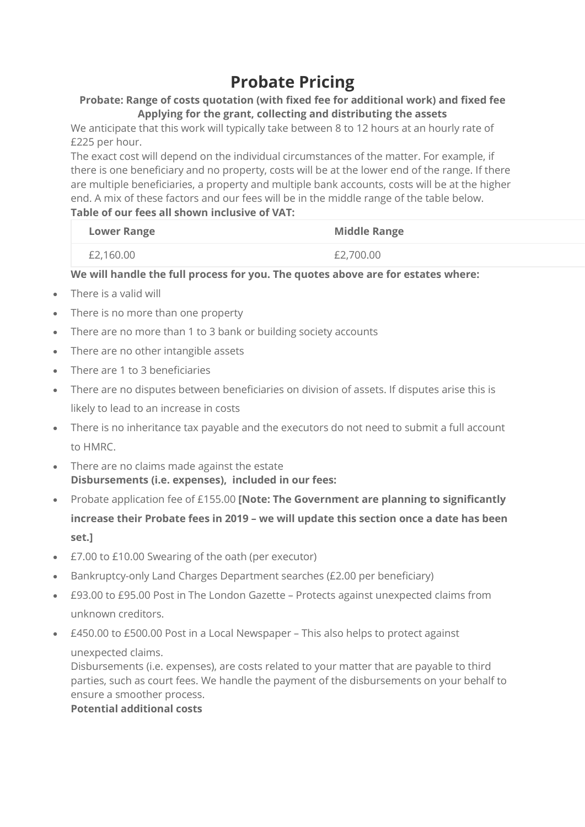# **Probate Pricing**

## **Probate: Range of costs quotation (with fixed fee for additional work) and fixed fee Applying for the grant, collecting and distributing the assets**

We anticipate that this work will typically take between 8 to 12 hours at an hourly rate of £225 per hour.

The exact cost will depend on the individual circumstances of the matter. For example, if there is one beneficiary and no property, costs will be at the lower end of the range. If there are multiple beneficiaries, a property and multiple bank accounts, costs will be at the higher end. A mix of these factors and our fees will be in the middle range of the table below. **Table of our fees all shown inclusive of VAT:**

| <b>Lower Range</b> | <b>Middle Range</b> |
|--------------------|---------------------|
| £2,160.00          | £2,700.00           |

## **We will handle the full process for you. The quotes above are for estates where:**

- There is a valid will
- There is no more than one property
- There are no more than 1 to 3 bank or building society accounts
- There are no other intangible assets
- There are 1 to 3 beneficiaries
- There are no disputes between beneficiaries on division of assets. If disputes arise this is likely to lead to an increase in costs
- There is no inheritance tax payable and the executors do not need to submit a full account to HMRC.
- There are no claims made against the estate **Disbursements (i.e. expenses), included in our fees:**
- Probate application fee of £155.00 **[Note: The Government are planning to significantly increase their Probate fees in 2019 – we will update this section once a date has been set.]**
- £7.00 to £10.00 Swearing of the oath (per executor)
- Bankruptcy-only Land Charges Department searches (£2.00 per beneficiary)
- £93.00 to £95.00 Post in The London Gazette Protects against unexpected claims from unknown creditors.
- £450.00 to £500.00 Post in a Local Newspaper This also helps to protect against

#### unexpected claims.

Disbursements (i.e. expenses), are costs related to your matter that are payable to third parties, such as court fees. We handle the payment of the disbursements on your behalf to ensure a smoother process.

## **Potential additional costs**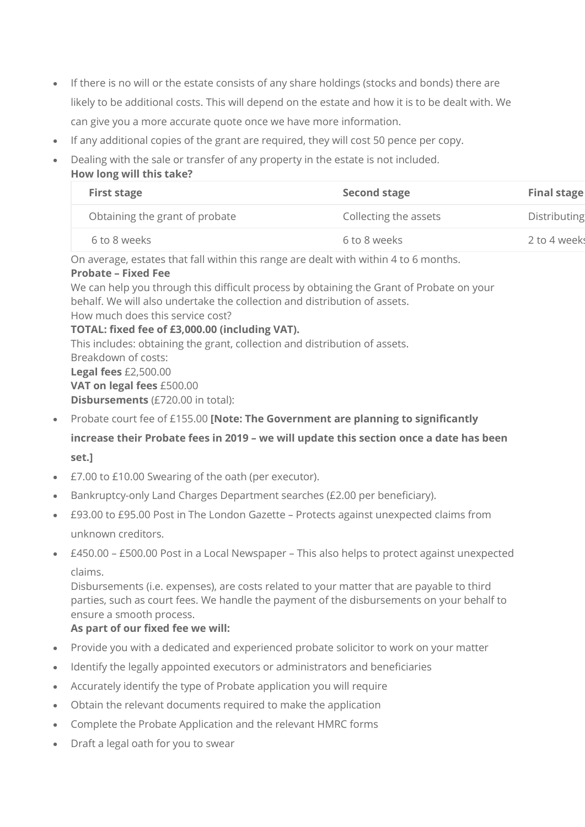- If there is no will or the estate consists of any share holdings (stocks and bonds) there are likely to be additional costs. This will depend on the estate and how it is to be dealt with. We can give you a more accurate quote once we have more information.
- If any additional copies of the grant are required, they will cost 50 pence per copy.
- Dealing with the sale or transfer of any property in the estate is not included. **How long will this take?**

| <b>First stage</b>             | <b>Second stage</b>   | <b>Final stage</b> |
|--------------------------------|-----------------------|--------------------|
| Obtaining the grant of probate | Collecting the assets | Distributing       |
| 6 to 8 weeks                   | 6 to 8 weeks          | 2 to 4 weeks       |

On average, estates that fall within this range are dealt with within 4 to 6 months.

#### **Probate – Fixed Fee**

We can help you through this difficult process by obtaining the Grant of Probate on your behalf. We will also undertake the collection and distribution of assets.

How much does this service cost?

**TOTAL: fixed fee of £3,000.00 (including VAT).**

This includes: obtaining the grant, collection and distribution of assets. Breakdown of costs: **Legal fees** £2,500.00 **VAT on legal fees** £500.00 **Disbursements** (£720.00 in total):

- Probate court fee of £155.00 **[Note: The Government are planning to significantly increase their Probate fees in 2019 – we will update this section once a date has been set.]**
- £7.00 to £10.00 Swearing of the oath (per executor).
- Bankruptcy-only Land Charges Department searches (£2.00 per beneficiary).
- £93.00 to £95.00 Post in The London Gazette Protects against unexpected claims from unknown creditors.
- £450.00 £500.00 Post in a Local Newspaper This also helps to protect against unexpected claims.

Disbursements (i.e. expenses), are costs related to your matter that are payable to third parties, such as court fees. We handle the payment of the disbursements on your behalf to ensure a smooth process.

### **As part of our fixed fee we will:**

- Provide you with a dedicated and experienced probate solicitor to work on your matter
- Identify the legally appointed executors or administrators and beneficiaries
- Accurately identify the type of Probate application you will require
- Obtain the relevant documents required to make the application
- Complete the Probate Application and the relevant HMRC forms
- Draft a legal oath for you to swear